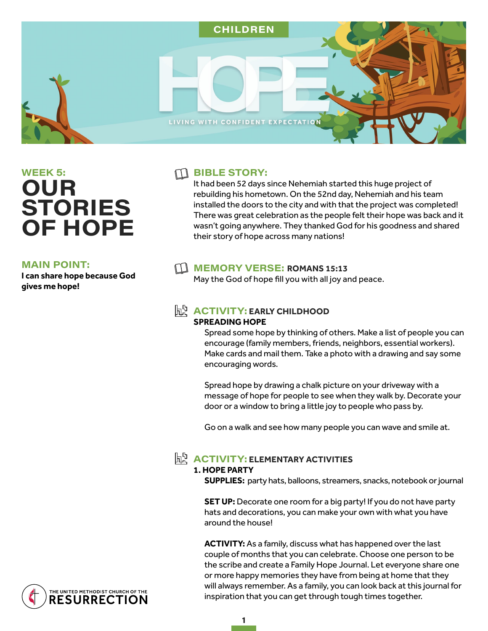

# WEEK 5: **OUR STORIES OF HOPE**

#### **MAIN POINT:**

**I can share hope because God gives me hope!** 

### $\Box$  BIBLE STORY:

It had been 52 days since Nehemiah started this huge project of rebuilding his hometown. On the 52nd day, Nehemiah and his team installed the doors to the city and with that the project was completed! There was great celebration as the people felt their hope was back and it wasn't going anywhere. They thanked God for his goodness and shared their story of hope across many nations!

# MEMORY VERSE: ROMANS 15:13

May the God of hope fill you with all joy and peace.

#### **ACTIVITY: EARLY CHILDHOOD SPREADING HOPE**

Spread some hope by thinking of others. Make a list of people you can encourage (family members, friends, neighbors, essential workers). Make cards and mail them. Take a photo with a drawing and say some encouraging words.

Spread hope by drawing a chalk picture on your driveway with a message of hope for people to see when they walk by. Decorate your door or a window to bring a little joy to people who pass by.

Go on a walk and see how many people you can wave and smile at.

# **ACTIVITY: ELEMENTARY ACTIVITIES**

# **1. HOPE PARTY**

**SUPPLIES:** party hats, balloons, streamers, snacks, notebook or journal

**SET UP:** Decorate one room for a big party! If you do not have party hats and decorations, you can make your own with what you have around the house!

**ACTIVITY:** As a family, discuss what has happened over the last couple of months that you can celebrate. Choose one person to be the scribe and create a Family Hope Journal. Let everyone share one or more happy memories they have from being at home that they will always remember. As a family, you can look back at this journal for inspiration that you can get through tough times together.